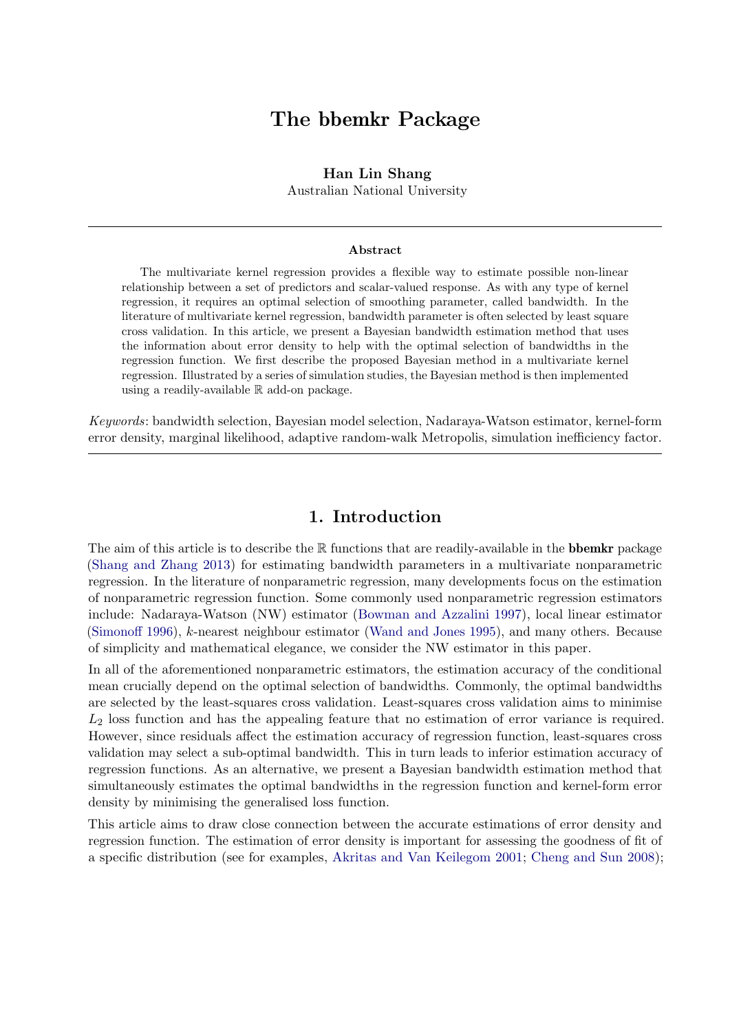# The bbemkr Package

### Han Lin Shang

Australian National University

#### Abstract

The multivariate kernel regression provides a flexible way to estimate possible non-linear relationship between a set of predictors and scalar-valued response. As with any type of kernel regression, it requires an optimal selection of smoothing parameter, called bandwidth. In the literature of multivariate kernel regression, bandwidth parameter is often selected by least square cross validation. In this article, we present a Bayesian bandwidth estimation method that uses the information about error density to help with the optimal selection of bandwidths in the regression function. We first describe the proposed Bayesian method in a multivariate kernel regression. Illustrated by a series of simulation studies, the Bayesian method is then implemented using a readily-available R add-on package.

Keywords: bandwidth selection, Bayesian model selection, Nadaraya-Watson estimator, kernel-form error density, marginal likelihood, adaptive random-walk Metropolis, simulation inefficiency factor.

# 1. Introduction

The aim of this article is to describe the  $\mathbb R$  functions that are readily-available in the **bbemkr** package [\(Shang and Zhang](#page-9-0) [2013\)](#page-9-0) for estimating bandwidth parameters in a multivariate nonparametric regression. In the literature of nonparametric regression, many developments focus on the estimation of nonparametric regression function. Some commonly used nonparametric regression estimators include: Nadaraya-Watson (NW) estimator [\(Bowman and Azzalini](#page-8-0) [1997\)](#page-8-0), local linear estimator [\(Simonoff](#page-9-1) [1996\)](#page-9-1), k-nearest neighbour estimator [\(Wand and Jones](#page-9-2) [1995\)](#page-9-2), and many others. Because of simplicity and mathematical elegance, we consider the NW estimator in this paper.

In all of the aforementioned nonparametric estimators, the estimation accuracy of the conditional mean crucially depend on the optimal selection of bandwidths. Commonly, the optimal bandwidths are selected by the least-squares cross validation. Least-squares cross validation aims to minimise  $L_2$  loss function and has the appealing feature that no estimation of error variance is required. However, since residuals affect the estimation accuracy of regression function, least-squares cross validation may select a sub-optimal bandwidth. This in turn leads to inferior estimation accuracy of regression functions. As an alternative, we present a Bayesian bandwidth estimation method that simultaneously estimates the optimal bandwidths in the regression function and kernel-form error density by minimising the generalised loss function.

This article aims to draw close connection between the accurate estimations of error density and regression function. The estimation of error density is important for assessing the goodness of fit of a specific distribution (see for examples, [Akritas and Van Keilegom](#page-8-1) [2001;](#page-8-1) [Cheng and Sun](#page-8-2) [2008\)](#page-8-2);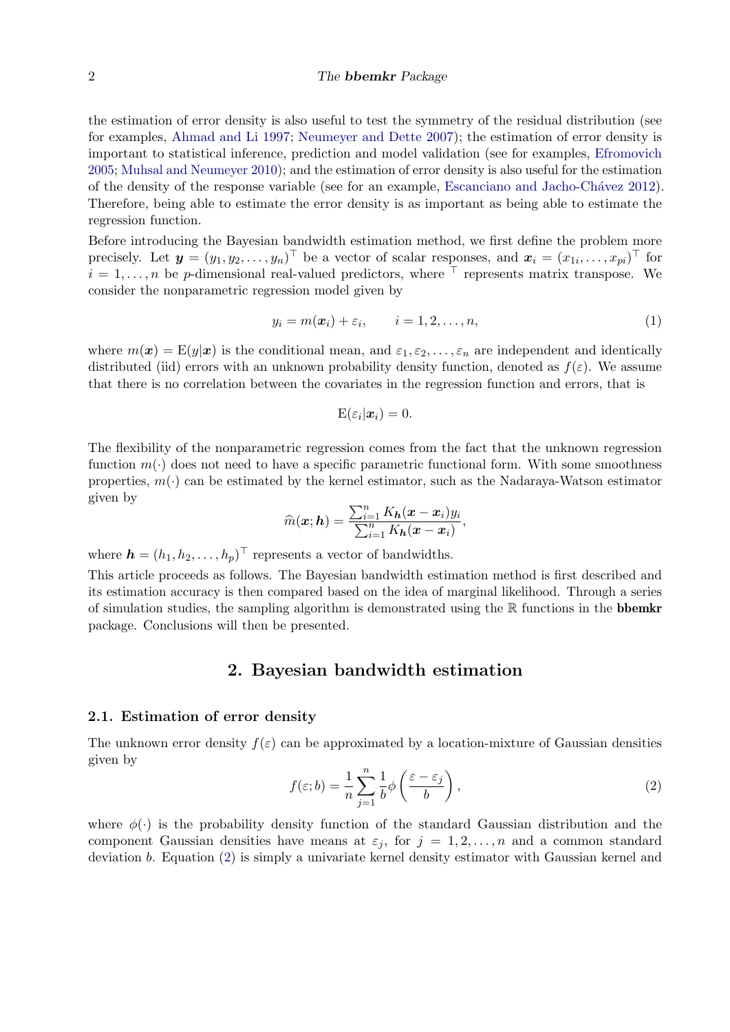#### 2 The bbemkr Package

the estimation of error density is also useful to test the symmetry of the residual distribution (see for examples, [Ahmad and Li](#page-8-3) [1997;](#page-8-3) [Neumeyer and Dette](#page-8-4) [2007\)](#page-8-4); the estimation of error density is important to statistical inference, prediction and model validation (see for examples, [Efromovich](#page-8-5) [2005;](#page-8-5) [Muhsal and Neumeyer](#page-8-6) [2010\)](#page-8-6); and the estimation of error density is also useful for the estimation of the density of the response variable (see for an example, Escanciano and Jacho-Chávez [2012\)](#page-8-7). Therefore, being able to estimate the error density is as important as being able to estimate the regression function.

Before introducing the Bayesian bandwidth estimation method, we first define the problem more precisely. Let  $\mathbf{y} = (y_1, y_2, \dots, y_n)^\top$  be a vector of scalar responses, and  $\mathbf{x}_i = (x_{1i}, \dots, x_{pi})^\top$  for  $i = 1, \ldots, n$  be p-dimensional real-valued predictors, where  $\top$  represents matrix transpose. We consider the nonparametric regression model given by

$$
y_i = m(\boldsymbol{x}_i) + \varepsilon_i, \qquad i = 1, 2, \dots, n,
$$
\n<sup>(1)</sup>

where  $m(x) = E(y|x)$  is the conditional mean, and  $\varepsilon_1, \varepsilon_2, \ldots, \varepsilon_n$  are independent and identically distributed (iid) errors with an unknown probability density function, denoted as  $f(\varepsilon)$ . We assume that there is no correlation between the covariates in the regression function and errors, that is

$$
\mathrm{E}(\varepsilon_i|\boldsymbol{x}_i)=0.
$$

The flexibility of the nonparametric regression comes from the fact that the unknown regression function  $m(\cdot)$  does not need to have a specific parametric functional form. With some smoothness properties,  $m(\cdot)$  can be estimated by the kernel estimator, such as the Nadaraya-Watson estimator given by

$$
\widehat{m}(\boldsymbol{x};\boldsymbol{h}) = \frac{\sum_{i=1}^{n} K_{\boldsymbol{h}}(\boldsymbol{x}-\boldsymbol{x}_i) y_i}{\sum_{i=1}^{n} K_{\boldsymbol{h}}(\boldsymbol{x}-\boldsymbol{x}_i)},
$$

where  $\mathbf{h} = (h_1, h_2, \dots, h_p)^\top$  represents a vector of bandwidths.

This article proceeds as follows. The Bayesian bandwidth estimation method is first described and its estimation accuracy is then compared based on the idea of marginal likelihood. Through a series of simulation studies, the sampling algorithm is demonstrated using the  $\mathbb R$  functions in the **bbemkr** package. Conclusions will then be presented.

## 2. Bayesian bandwidth estimation

### 2.1. Estimation of error density

<span id="page-1-0"></span>The unknown error density  $f(\varepsilon)$  can be approximated by a location-mixture of Gaussian densities given by

$$
f(\varepsilon; b) = \frac{1}{n} \sum_{j=1}^{n} \frac{1}{b} \phi \left( \frac{\varepsilon - \varepsilon_j}{b} \right),\tag{2}
$$

where  $\phi(\cdot)$  is the probability density function of the standard Gaussian distribution and the component Gaussian densities have means at  $\varepsilon_j$ , for  $j = 1, 2, \ldots, n$  and a common standard deviation b. Equation [\(2\)](#page-1-0) is simply a univariate kernel density estimator with Gaussian kernel and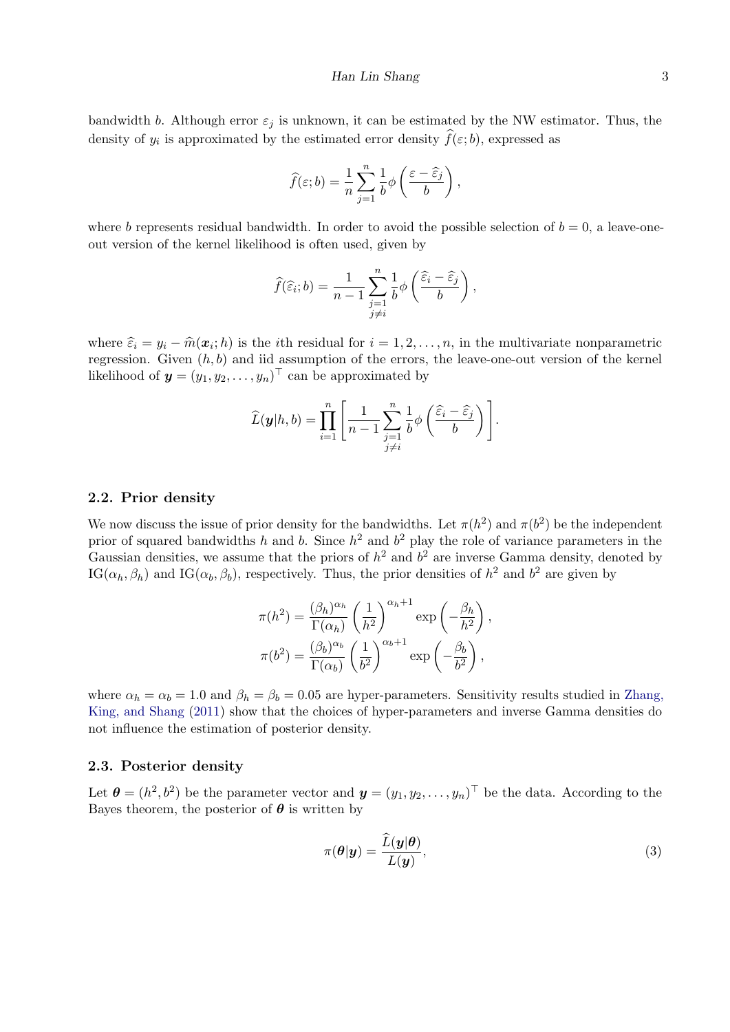bandwidth b. Although error  $\varepsilon_i$  is unknown, it can be estimated by the NW estimator. Thus, the density of  $y_i$  is approximated by the estimated error density  $f(\varepsilon; b)$ , expressed as

$$
\widehat{f}(\varepsilon;b) = \frac{1}{n}\sum_{j=1}^{n} \frac{1}{b}\phi\left(\frac{\varepsilon-\widehat{\varepsilon}_{j}}{b}\right),\,
$$

where b represents residual bandwidth. In order to avoid the possible selection of  $b = 0$ , a leave-oneout version of the kernel likelihood is often used, given by

$$
\widehat{f}(\widehat{\varepsilon}_i; b) = \frac{1}{n-1} \sum_{\substack{j=1 \ j \neq i}}^n \frac{1}{b} \phi\left(\frac{\widehat{\varepsilon}_i - \widehat{\varepsilon}_j}{b}\right),\,
$$

where  $\hat{\varepsilon}_i = y_i - \hat{m}(\mathbf{x}_i; h)$  is the *i*th residual for  $i = 1, 2, ..., n$ , in the multivariate nonparametric<br>recreasion. Given  $(h, h)$  and identuration of the expansion the leave are out version of the learnel regression. Given  $(h, b)$  and iid assumption of the errors, the leave-one-out version of the kernel likelihood of  $\mathbf{y} = (y_1, y_2, \dots, y_n)^\top$  can be approximated by

$$
\widehat{L}(\boldsymbol{y}|h,b) = \prod_{i=1}^n \left[ \frac{1}{n-1} \sum_{\substack{j=1 \ j \neq i}}^n \frac{1}{b} \phi\left(\frac{\widehat{\varepsilon}_i - \widehat{\varepsilon}_j}{b}\right) \right].
$$

#### 2.2. Prior density

We now discuss the issue of prior density for the bandwidths. Let  $\pi(h^2)$  and  $\pi(b^2)$  be the independent prior of squared bandwidths h and b. Since  $h^2$  and  $b^2$  play the role of variance parameters in the Gaussian densities, we assume that the priors of  $h^2$  and  $b^2$  are inverse Gamma density, denoted by IG( $\alpha_h, \beta_h$ ) and IG( $\alpha_b, \beta_b$ ), respectively. Thus, the prior densities of  $h^2$  and  $b^2$  are given by

$$
\pi(h^2) = \frac{(\beta_h)^{\alpha_h}}{\Gamma(\alpha_h)} \left(\frac{1}{h^2}\right)^{\alpha_h+1} \exp\left(-\frac{\beta_h}{h^2}\right),
$$

$$
\pi(b^2) = \frac{(\beta_b)^{\alpha_b}}{\Gamma(\alpha_b)} \left(\frac{1}{b^2}\right)^{\alpha_b+1} \exp\left(-\frac{\beta_b}{b^2}\right),
$$

where  $\alpha_h = \alpha_b = 1.0$  and  $\beta_h = \beta_b = 0.05$  are hyper-parameters. Sensitivity results studied in [Zhang,](#page-9-3) [King, and Shang](#page-9-3) [\(2011\)](#page-9-3) show that the choices of hyper-parameters and inverse Gamma densities do not influence the estimation of posterior density.

# 2.3. Posterior density

Let  $\boldsymbol{\theta} = (h^2, b^2)$  be the parameter vector and  $\boldsymbol{y} = (y_1, y_2, \dots, y_n)^\top$  be the data. According to the Bayes theorem, the posterior of  $\theta$  is written by

<span id="page-2-0"></span>
$$
\pi(\boldsymbol{\theta}|\boldsymbol{y}) = \frac{\widehat{L}(\boldsymbol{y}|\boldsymbol{\theta})}{L(\boldsymbol{y})},\tag{3}
$$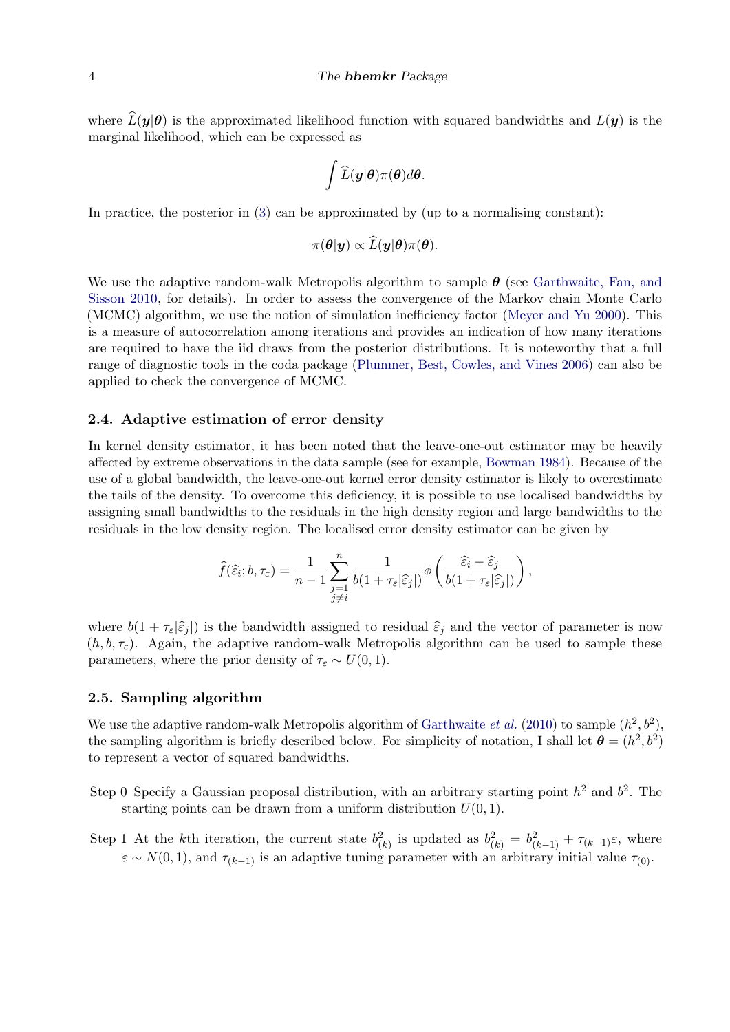#### 4 The bbemkr Package

where  $\widehat{L}(\bm{y}|\bm{\theta})$  is the approximated likelihood function with squared bandwidths and  $L(\bm{y})$  is the marginal likelihood, which can be expressed as

$$
\int \widehat{L}(\boldsymbol{y}|\boldsymbol{\theta})\pi(\boldsymbol{\theta})d\boldsymbol{\theta}.
$$

In practice, the posterior in [\(3\)](#page-2-0) can be approximated by (up to a normalising constant):

$$
\pi(\boldsymbol{\theta}|\boldsymbol{y}) \propto \widehat{L}(\boldsymbol{y}|\boldsymbol{\theta})\pi(\boldsymbol{\theta}).
$$

We use the adaptive random-walk Metropolis algorithm to sample  $\theta$  (see [Garthwaite, Fan, and](#page-8-8) [Sisson](#page-8-8) [2010,](#page-8-8) for details). In order to assess the convergence of the Markov chain Monte Carlo (MCMC) algorithm, we use the notion of simulation inefficiency factor [\(Meyer and Yu](#page-8-9) [2000\)](#page-8-9). This is a measure of autocorrelation among iterations and provides an indication of how many iterations are required to have the iid draws from the posterior distributions. It is noteworthy that a full range of diagnostic tools in the coda package [\(Plummer, Best, Cowles, and Vines](#page-9-4) [2006\)](#page-9-4) can also be applied to check the convergence of MCMC.

### 2.4. Adaptive estimation of error density

In kernel density estimator, it has been noted that the leave-one-out estimator may be heavily affected by extreme observations in the data sample (see for example, [Bowman](#page-8-10) [1984\)](#page-8-10). Because of the use of a global bandwidth, the leave-one-out kernel error density estimator is likely to overestimate the tails of the density. To overcome this deficiency, it is possible to use localised bandwidths by assigning small bandwidths to the residuals in the high density region and large bandwidths to the residuals in the low density region. The localised error density estimator can be given by

$$
\widehat{f}(\widehat{\varepsilon}_i; b, \tau_{\varepsilon}) = \frac{1}{n-1} \sum_{\substack{j=1 \ j \neq i}}^n \frac{1}{b(1 + \tau_{\varepsilon}|\widehat{\varepsilon}_j|)} \phi\left(\frac{\widehat{\varepsilon}_i - \widehat{\varepsilon}_j}{b(1 + \tau_{\varepsilon}|\widehat{\varepsilon}_j|)}\right),
$$

where  $b(1 + \tau_{\varepsilon}|\hat{\varepsilon}_j|)$  is the bandwidth assigned to residual  $\hat{\varepsilon}_j$  and the vector of parameter is now  $(h, b, \tau_{\varepsilon})$ . Again, the adaptive random-walk Metropolis algorithm can be used to sample these parameters, where the prior density of  $\tau_{\varepsilon} \sim U(0, 1)$ .

#### 2.5. Sampling algorithm

We use the adaptive random-walk Metropolis algorithm of [Garthwaite](#page-8-8) *et al.* [\(2010\)](#page-8-8) to sample  $(h^2, b^2)$ , the sampling algorithm is briefly described below. For simplicity of notation, I shall let  $\theta = (h^2, b^2)$ to represent a vector of squared bandwidths.

- Step 0 Specify a Gaussian proposal distribution, with an arbitrary starting point  $h^2$  and  $b^2$ . The starting points can be drawn from a uniform distribution  $U(0, 1)$ .
- Step 1 At the kth iteration, the current state  $b_{(k)}^2$  is updated as  $b_{(k)}^2 = b_{(k-1)}^2 + \tau_{(k-1)}\varepsilon$ , where  $\varepsilon \sim N(0, 1)$ , and  $\tau_{(k-1)}$  is an adaptive tuning parameter with an arbitrary initial value  $\tau_{(0)}$ .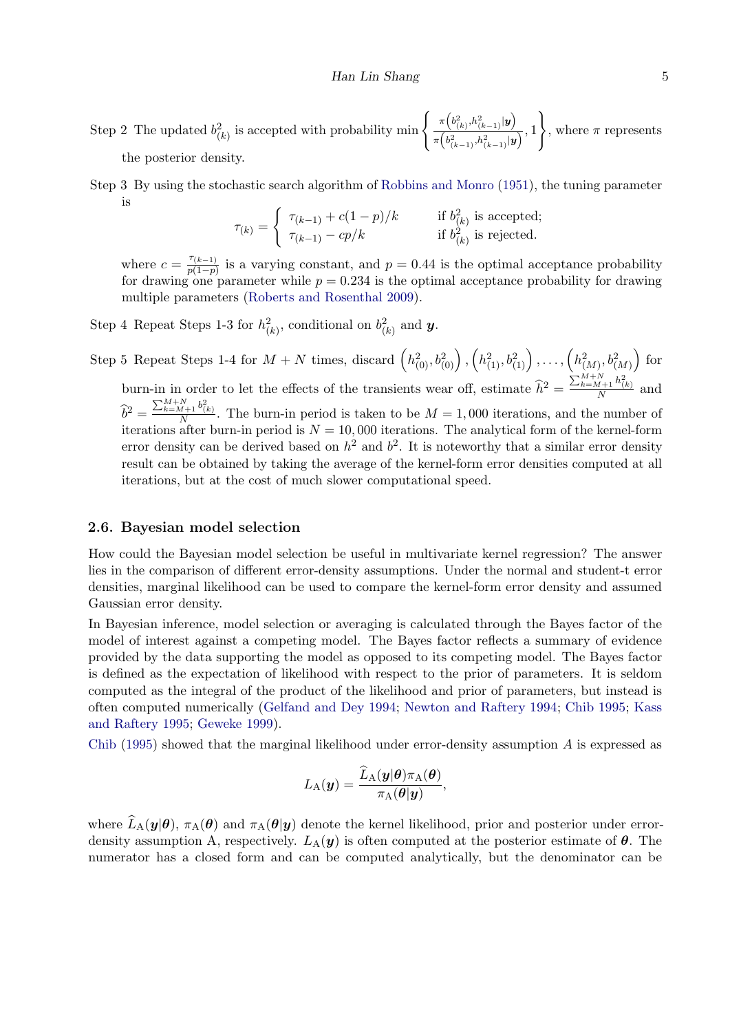Step 2 The updated  $b_{(k)}^2$  is accepted with probability min  $\begin{cases} \pi \left( b_{(k)}^2, h_{(k-1)}^2 | \mathbf{y} \right) \\ \pi \left( b^2, b^2 \right) \right) \end{cases}$  $\frac{\binom{k}{k} \binom{k-1}{k}}{\pi \binom{b^2_{(k-1)},h^2_{(k-1)}|y}{k}}$ , 1  $\lambda$ , where  $\pi$  represents the posterior density.

Step 3 By using the stochastic search algorithm of [Robbins and Monro](#page-9-5) [\(1951\)](#page-9-5), the tuning parameter is

$$
\tau_{(k)} = \begin{cases}\n\tau_{(k-1)} + c(1-p)/k & \text{if } b_{(k)}^2 \text{ is accepted;} \\
\tau_{(k-1)} - cp/k & \text{if } b_{(k)}^2 \text{ is rejected.}\n\end{cases}
$$

where  $c = \frac{\tau_{(k-1)}}{n(1-n)}$  $\frac{p(k-1)}{p(1-p)}$  is a varying constant, and  $p = 0.44$  is the optimal acceptance probability for drawing one parameter while  $p = 0.234$  is the optimal acceptance probability for drawing multiple parameters [\(Roberts and Rosenthal](#page-9-6) [2009\)](#page-9-6).

Step 4 Repeat Steps 1-3 for  $h_{(k)}^2$ , conditional on  $b_{(k)}^2$  and **y**.

Step 5 Repeat Steps 1-4 for  $M + N$  times, discard  $(h_{(0)}^2, b_{(0)}^2), (h_{(1)}^2, b_{(1)}^2), \ldots, (h_{(M)}^2, b_{(M)}^2)$  for burn-in in order to let the effects of the transients wear off, estimate  $\hat{h}^2 = \frac{\sum_{k=M+1}^{M+N} h_{(k)}^2}{N}$  and  $\hat{b}^2 = \frac{\sum_{k=M+1}^{M+N} b_{(k)}^2}{N}$ . The burn-in period is taken to be  $M = 1,000$  iterations, and the number of iterations after burn-in period is  $N = 10,000$  iterations. The analytical form of the kernel-form error density can be derived based on  $h^2$  and  $b^2$ . It is noteworthy that a similar error density result can be obtained by taking the average of the kernel-form error densities computed at all iterations, but at the cost of much slower computational speed.

#### 2.6. Bayesian model selection

How could the Bayesian model selection be useful in multivariate kernel regression? The answer lies in the comparison of different error-density assumptions. Under the normal and student-t error densities, marginal likelihood can be used to compare the kernel-form error density and assumed Gaussian error density.

In Bayesian inference, model selection or averaging is calculated through the Bayes factor of the model of interest against a competing model. The Bayes factor reflects a summary of evidence provided by the data supporting the model as opposed to its competing model. The Bayes factor is defined as the expectation of likelihood with respect to the prior of parameters. It is seldom computed as the integral of the product of the likelihood and prior of parameters, but instead is often computed numerically [\(Gelfand and Dey](#page-8-11) [1994;](#page-8-11) [Newton and Raftery](#page-8-12) [1994;](#page-8-12) [Chib](#page-8-13) [1995;](#page-8-13) [Kass](#page-8-14) [and Raftery](#page-8-14) [1995;](#page-8-14) [Geweke](#page-8-15) [1999\)](#page-8-15).

[Chib](#page-8-13) [\(1995\)](#page-8-13) showed that the marginal likelihood under error-density assumption  $A$  is expressed as

$$
L_{\rm A}(\boldsymbol{y}) = \frac{\widehat{L}_{\rm A}(\boldsymbol{y}|\boldsymbol{\theta})\pi_{\rm A}(\boldsymbol{\theta})}{\pi_{\rm A}(\boldsymbol{\theta}|\boldsymbol{y})},
$$

where  $\widehat{L}_{A}(y|\theta), \pi_{A}(\theta)$  and  $\pi_{A}(\theta|y)$  denote the kernel likelihood, prior and posterior under errordensity assumption A, respectively.  $L_A(y)$  is often computed at the posterior estimate of  $\theta$ . The numerator has a closed form and can be computed analytically, but the denominator can be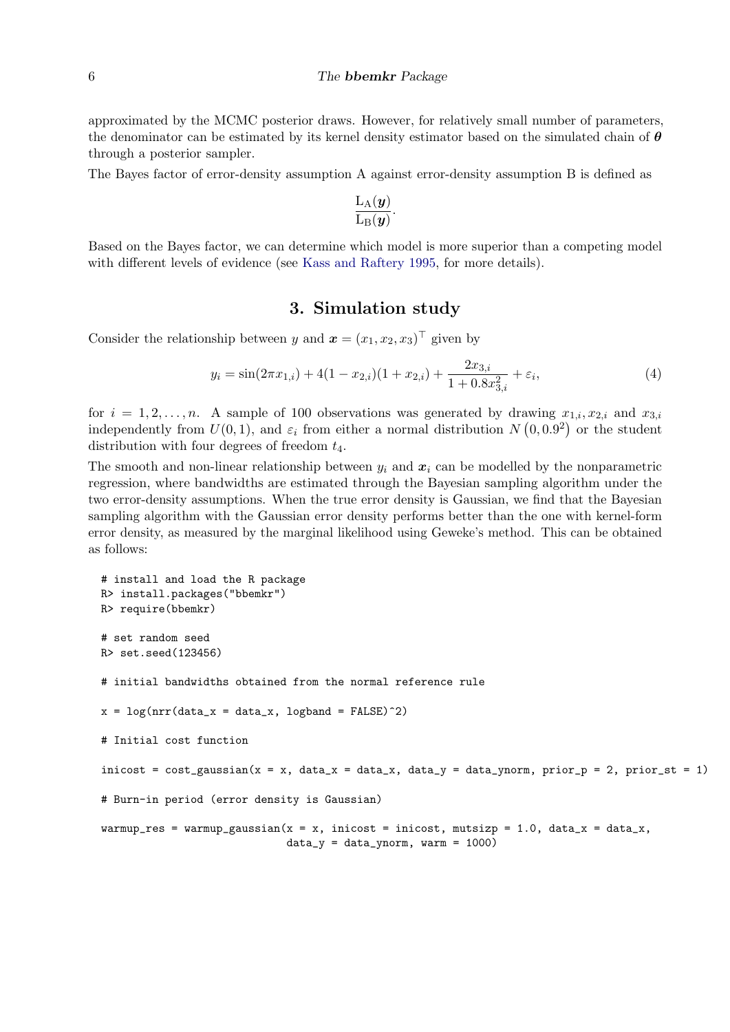approximated by the MCMC posterior draws. However, for relatively small number of parameters, the denominator can be estimated by its kernel density estimator based on the simulated chain of  $\theta$ through a posterior sampler.

The Bayes factor of error-density assumption A against error-density assumption B is defined as

$$
\frac{\mathrm{L}_{\mathrm{A}}(\boldsymbol{y})}{\mathrm{L}_{\mathrm{B}}(\boldsymbol{y})}.
$$

Based on the Bayes factor, we can determine which model is more superior than a competing model with different levels of evidence (see [Kass and Raftery](#page-8-14) [1995,](#page-8-14) for more details).

# 3. Simulation study

Consider the relationship between y and  $\mathbf{x} = (x_1, x_2, x_3)^\top$  given by

$$
y_i = \sin(2\pi x_{1,i}) + 4(1 - x_{2,i})(1 + x_{2,i}) + \frac{2x_{3,i}}{1 + 0.8x_{3,i}^2} + \varepsilon_i,
$$
\n(4)

for  $i = 1, 2, \ldots, n$ . A sample of 100 observations was generated by drawing  $x_{1,i}, x_{2,i}$  and  $x_{3,i}$ independently from  $U(0,1)$ , and  $\varepsilon_i$  from either a normal distribution  $N(0,0.9^2)$  or the student distribution with four degrees of freedom  $t_4$ .

The smooth and non-linear relationship between  $y_i$  and  $x_i$  can be modelled by the nonparametric regression, where bandwidths are estimated through the Bayesian sampling algorithm under the two error-density assumptions. When the true error density is Gaussian, we find that the Bayesian sampling algorithm with the Gaussian error density performs better than the one with kernel-form error density, as measured by the marginal likelihood using Geweke's method. This can be obtained as follows:

```
# install and load the R package
R> install.packages("bbemkr")
R> require(bbemkr)
# set random seed
R> set.seed(123456)
# initial bandwidths obtained from the normal reference rule
x = \log(nrr(data_x = data_x, \text{logband} = FALSE)^2)# Initial cost function
inicost = cost_{gaussian}(x = x, data_x = data_x, data_y = data_y = data_y = max, prior_p = 2, prior_st = 1)# Burn-in period (error density is Gaussian)
warmup_res = warmup_gaussian(x = x, inicost = inicost, mutsizp = 1.0, data_x = data_x,
                              data_y = data_ynorm, warm = 1000)
```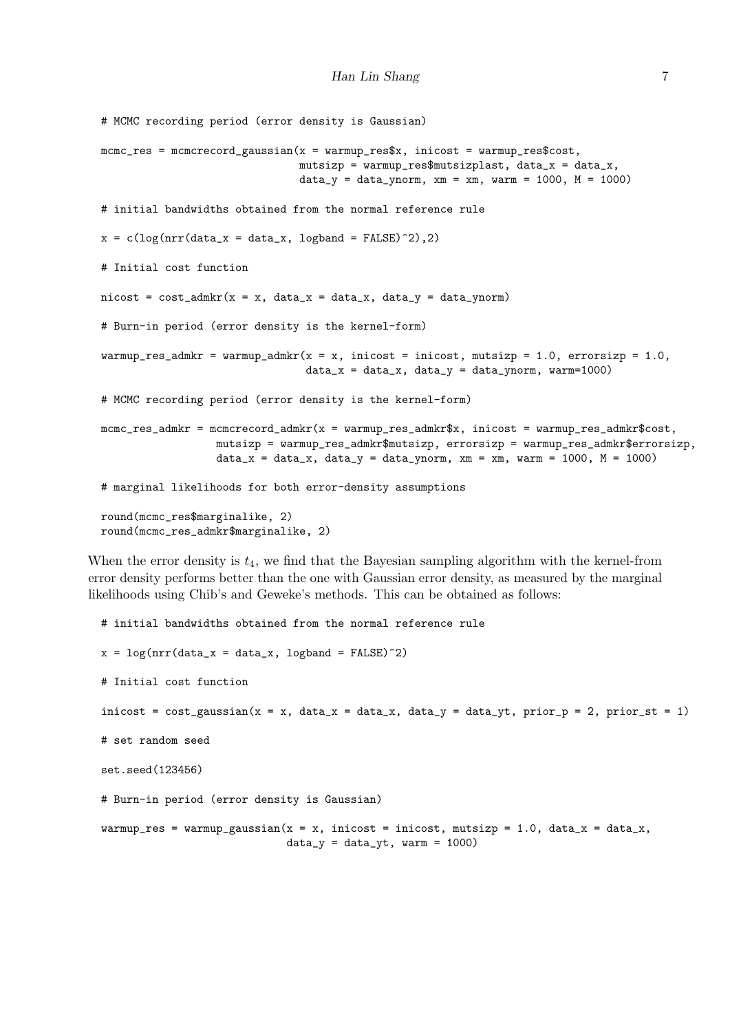```
# MCMC recording period (error density is Gaussian)
mcmc<sub>z</sub> = mcmc<sub>z</sub> = mcmc<sub>z</sub> aussian(x = warmup_res$x, inicost = warmup_res$cost,
                                mutsizp = warmup_res$mutsizplast, data_x = data_x,data_y = data_ynorm, xm = xm, warm = 1000, M = 1000)# initial bandwidths obtained from the normal reference rule
x = c(log(nrr(data_x = data_x, logband = FALSE)^2),2)
# Initial cost function
nicost = cost\_admkr(x = x, data_x = data_x, data_y = data_y)# Burn-in period (error density is the kernel-form)
warmup_res_admkr = warmup_admkr(x = x, inicost = inicost, mutsizp = 1.0, errorsizp = 1.0,
                                 data_x = data_x, data_y = data_y mata_ynorm, warm=1000)
# MCMC recording period (error density is the kernel-form)
mcmc_res_admkr = mcmcrecord_admkr(x = warmup_res_admkr$x, inicost = warmup_res_admkr$cost,
                  mutsizp = warmup_res_admkr$mutsizp, errorsizp = warmup_res_admkr$errorsizp,
                  data_x = data_x, data_y = data_ynorm, xm = xm, warm = 1000, M = 1000)
# marginal likelihoods for both error-density assumptions
round(mcmc_res$marginalike, 2)
round(mcmc_res_admkr$marginalike, 2)
```
When the error density is  $t_4$ , we find that the Bayesian sampling algorithm with the kernel-from error density performs better than the one with Gaussian error density, as measured by the marginal likelihoods using Chib's and Geweke's methods. This can be obtained as follows:

```
# initial bandwidths obtained from the normal reference rule
x = \log(nrr(data_x = data_x, \logband = FALSE)^2)# Initial cost function
inicost = cost_{gaussian}(x = x, data_x = data_x, data_y = data_y, print_y, prior_p = 2, prior_st = 1)# set random seed
set.seed(123456)
# Burn-in period (error density is Gaussian)
warmup_res = warmup_gaussian(x = x, inicost = inicost, mutsizp = 1.0, data_x = data_x,
                             data_y = data_yt, warm = 1000)
```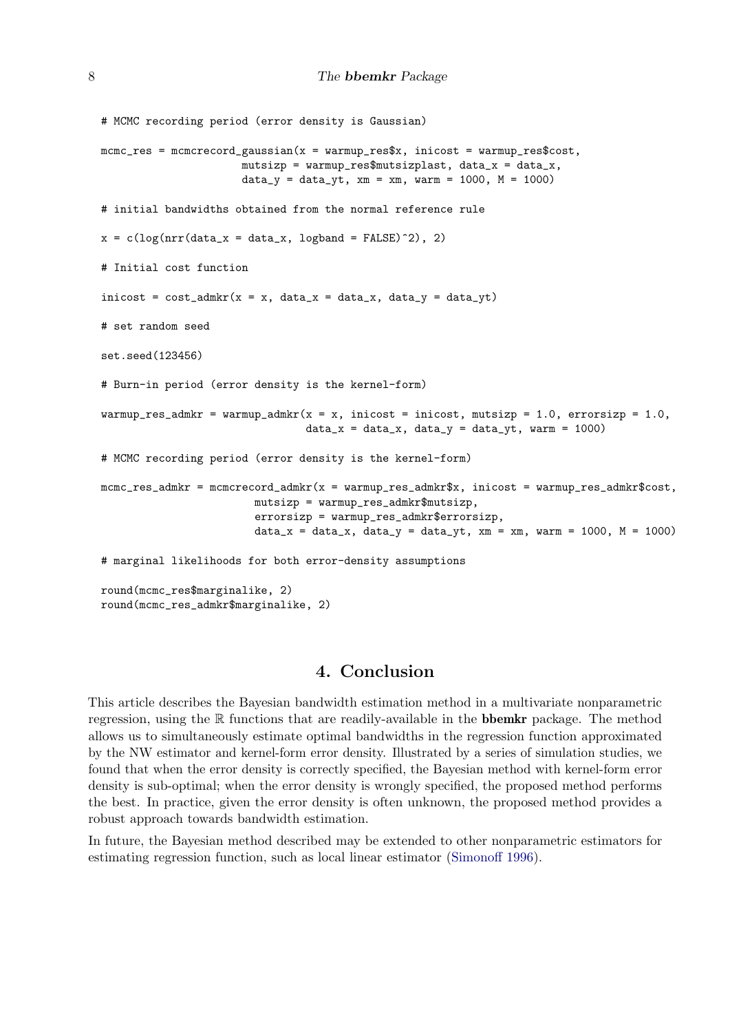```
# MCMC recording period (error density is Gaussian)
mcmc<sub>z</sub> = mcmc<sub>z</sub> = mcmc<sub>z</sub> aussian(x = warmup_res$x, inicost = warmup_res$cost,
                       mutsizp = warmup_res$mutsizplast, data_x = data_x,data_y = data_yt, xm = xm, warm = 1000, M = 1000)
# initial bandwidths obtained from the normal reference rule
x = c(log(nrr(data_x = data_x, logband = FALSE)^2), 2)# Initial cost function
\text{inicost} = \text{cost\_admkr}(x = x, \text{ data\_x} = \text{data\_x}, \text{ data\_y} = \text{data\_yt})# set random seed
set.seed(123456)
# Burn-in period (error density is the kernel-form)
warmup_res_admkr = warmup_admkr(x = x, inicost = inicost, mutsizp = 1.0, errorsizp = 1.0,
                                  data_x = data_x, data_y = data_y, warm = 1000)
# MCMC recording period (error density is the kernel-form)
mcmc_res_admkr = mcmcrecord_admkr(x = warmup_res_admkr$x, inicost = warmup_res_admkr$cost,
                         mutsizp = warmup_res_admkr$mutsizp,
                          errorsizp = warmup_res_admkr$errorsizp,
                         data_x = data_x, data_y = data_y, xm = x, warm = 1000, M = 1000)
# marginal likelihoods for both error-density assumptions
round(mcmc_res$marginalike, 2)
round(mcmc_res_admkr$marginalike, 2)
```
# 4. Conclusion

This article describes the Bayesian bandwidth estimation method in a multivariate nonparametric regression, using the  $\mathbb R$  functions that are readily-available in the **bbemkr** package. The method allows us to simultaneously estimate optimal bandwidths in the regression function approximated by the NW estimator and kernel-form error density. Illustrated by a series of simulation studies, we found that when the error density is correctly specified, the Bayesian method with kernel-form error density is sub-optimal; when the error density is wrongly specified, the proposed method performs the best. In practice, given the error density is often unknown, the proposed method provides a robust approach towards bandwidth estimation.

In future, the Bayesian method described may be extended to other nonparametric estimators for estimating regression function, such as local linear estimator [\(Simonoff](#page-9-1) [1996\)](#page-9-1).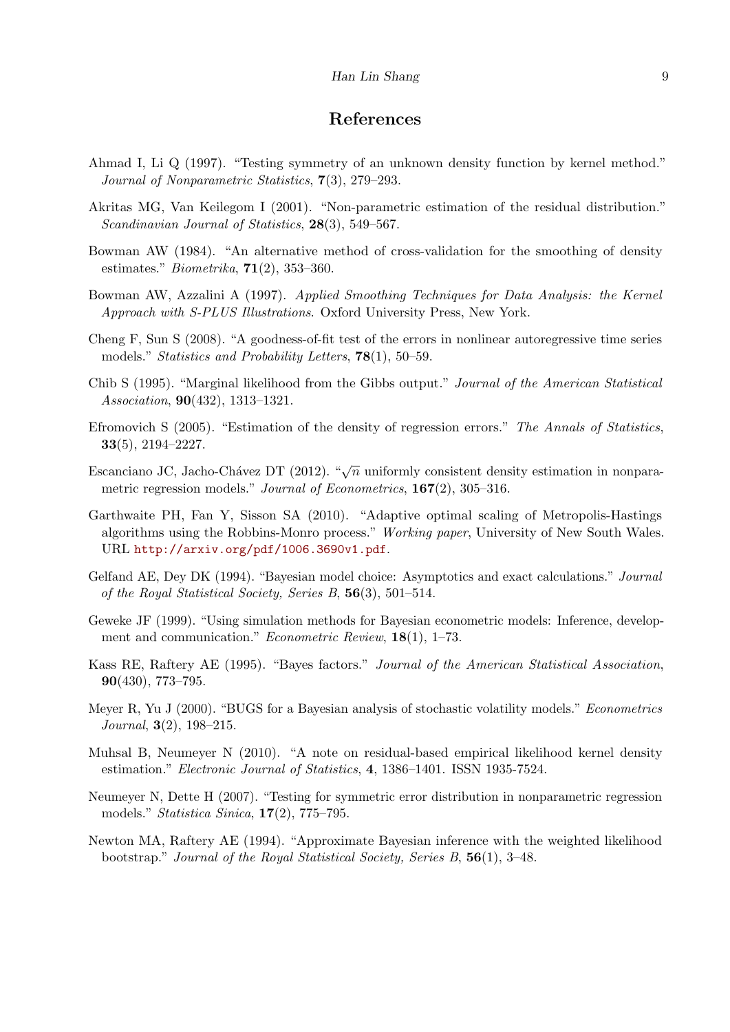# References

- <span id="page-8-3"></span>Ahmad I, Li Q (1997). "Testing symmetry of an unknown density function by kernel method." Journal of Nonparametric Statistics, 7(3), 279–293.
- <span id="page-8-1"></span>Akritas MG, Van Keilegom I (2001). "Non-parametric estimation of the residual distribution." Scandinavian Journal of Statistics, 28(3), 549–567.
- <span id="page-8-10"></span>Bowman AW (1984). "An alternative method of cross-validation for the smoothing of density estimates." *Biometrika*,  $71(2)$ , 353–360.
- <span id="page-8-0"></span>Bowman AW, Azzalini A (1997). Applied Smoothing Techniques for Data Analysis: the Kernel Approach with S-PLUS Illustrations. Oxford University Press, New York.
- <span id="page-8-2"></span>Cheng F, Sun S (2008). "A goodness-of-fit test of the errors in nonlinear autoregressive time series models." *Statistics and Probability Letters*, **78**(1), 50–59.
- <span id="page-8-13"></span>Chib S (1995). "Marginal likelihood from the Gibbs output." Journal of the American Statistical Association, 90(432), 1313–1321.
- <span id="page-8-5"></span>Efromovich S (2005). "Estimation of the density of regression errors." The Annals of Statistics, 33(5), 2194–2227.
- <span id="page-8-7"></span>Escanciano JC, Jacho-Chávez DT (2012). " $\sqrt{n}$  uniformly consistent density estimation in nonparametric regression models." Journal of Econometrics, 167(2), 305-316.
- <span id="page-8-8"></span>Garthwaite PH, Fan Y, Sisson SA (2010). "Adaptive optimal scaling of Metropolis-Hastings algorithms using the Robbins-Monro process." Working paper, University of New South Wales. URL <http://arxiv.org/pdf/1006.3690v1.pdf>.
- <span id="page-8-11"></span>Gelfand AE, Dey DK (1994). "Bayesian model choice: Asymptotics and exact calculations." Journal of the Royal Statistical Society, Series B, 56(3), 501–514.
- <span id="page-8-15"></span>Geweke JF (1999). "Using simulation methods for Bayesian econometric models: Inference, development and communication." *Econometric Review*, **18**(1), 1–73.
- <span id="page-8-14"></span>Kass RE, Raftery AE (1995). "Bayes factors." Journal of the American Statistical Association, 90(430), 773–795.
- <span id="page-8-9"></span>Meyer R, Yu J (2000). "BUGS for a Bayesian analysis of stochastic volatility models." Econometrics Journal, 3(2), 198–215.
- <span id="page-8-6"></span>Muhsal B, Neumeyer N (2010). "A note on residual-based empirical likelihood kernel density estimation." Electronic Journal of Statistics, 4, 1386–1401. ISSN 1935-7524.
- <span id="page-8-4"></span>Neumeyer N, Dette H (2007). "Testing for symmetric error distribution in nonparametric regression models." Statistica Sinica, 17(2), 775–795.
- <span id="page-8-12"></span>Newton MA, Raftery AE (1994). "Approximate Bayesian inference with the weighted likelihood bootstrap." Journal of the Royal Statistical Society, Series B, 56(1), 3–48.